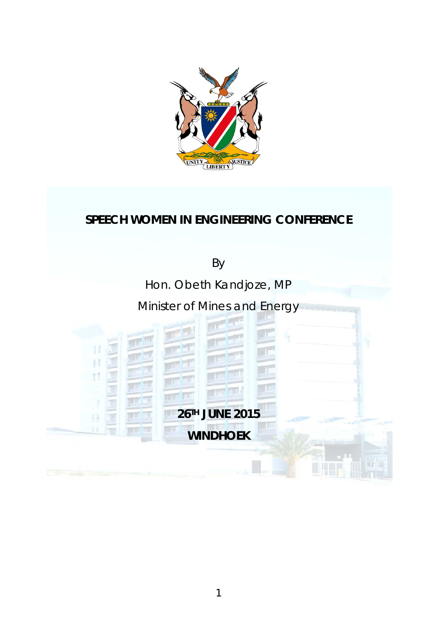

# **SPEECH WOMEN IN ENGINEERING CONFERENCE**

By

Hon. Obeth Kandjoze, MP

# Minister of Mines and Energy

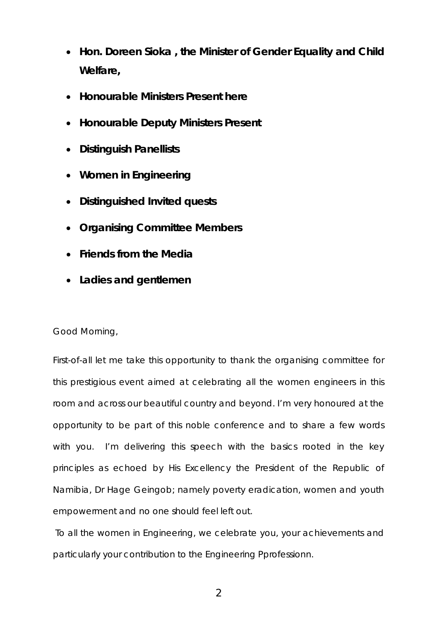- **Hon. Doreen Sioka , the Minister of Gender Equality and Child Welfare,**
- **Honourable Ministers Present here**
- **Honourable Deputy Ministers Present**
- **Distinguish Panellists**
- **Women in Engineering**
- **Distinguished Invited quests**
- **Organising Committee Members**
- **Friends from the Media**
- **Ladies and gentlemen**

### Good Morning,

First-of-all let me take this opportunity to thank the organising committee for this prestigious event aimed at celebrating all the women engineers in this room and across our beautiful country and beyond. I'm very honoured at the opportunity to be part of this noble conference and to share a few words with you. I'm delivering this speech with the basics rooted in the key principles as echoed by His Excellency the President of the Republic of Namibia, Dr Hage Geingob; namely poverty eradication, women and youth empowerment and no one should feel left out.

To all the women in Engineering, we celebrate you, your achievements and particularly your contribution to the Engineering Pprofessionn.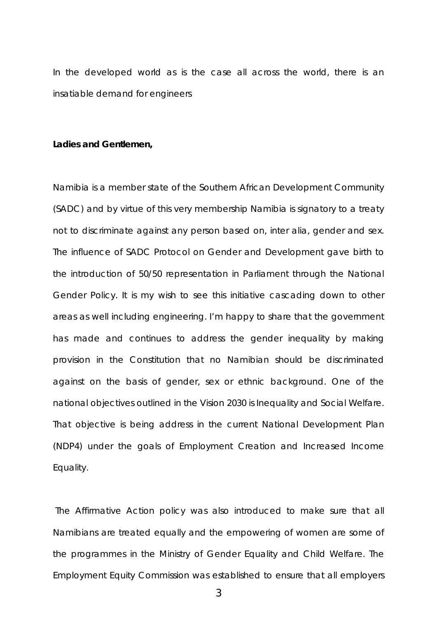In the developed world as is the case all across the world, there is an insatiable demand for engineers

#### **Ladies and Gentlemen,**

Namibia is a member state of the Southern African Development Community (SADC) and by virtue of this very membership Namibia is signatory to a treaty not to discriminate against any person based on, inter alia, gender and sex. The influence of SADC Protocol on Gender and Development gave birth to the introduction of 50/50 representation in Parliament through the National Gender Policy. It is my wish to see this initiative cascading down to other areas as well including engineering. I'm happy to share that the government has made and continues to address the gender inequality by making provision in the Constitution that no Namibian should be discriminated against on the basis of gender, sex or ethnic background. One of the national objectives outlined in the Vision 2030 is Inequality and Social Welfare. That objective is being address in the current National Development Plan (NDP4) under the goals of Employment Creation and Increased Income Equality.

The Affirmative Action policy was also introduced to make sure that all Namibians are treated equally and the empowering of women are some of the programmes in the Ministry of Gender Equality and Child Welfare. The Employment Equity Commission was established to ensure that all employers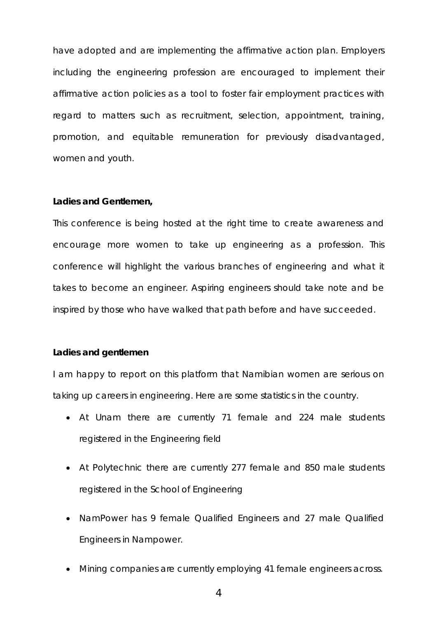have adopted and are implementing the affirmative action plan. Employers including the engineering profession are encouraged to implement their affirmative action policies as a tool to foster fair employment practices with regard to matters such as recruitment, selection, appointment, training, promotion, and equitable remuneration for previously disadvantaged, women and youth.

#### **Ladies and Gentlemen,**

This conference is being hosted at the right time to create awareness and encourage more women to take up engineering as a profession. This conference will highlight the various branches of engineering and what it takes to become an engineer. Aspiring engineers should take note and be inspired by those who have walked that path before and have succeeded.

#### **Ladies and gentlemen**

I am happy to report on this platform that Namibian women are serious on taking up careers in engineering. Here are some statistics in the country.

- *At Unam there are currently 71 female and 224 male students registered in the Engineering field*
- *At Polytechnic there are currently 277 female and 850 male students registered in the School of Engineering*
- NamPower has 9 female Qualified Engineers and 27 male Qualified Engineers in Nampower.
- Mining companies are currently employing 41 female engineers across.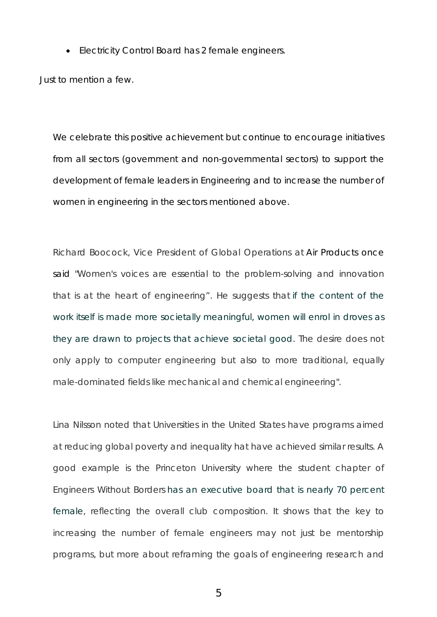• Electricity Control Board has 2 female engineers.

Just to mention a few.

We celebrate this positive achievement but continue to encourage initiatives from all sectors (government and non-governmental sectors) to support the development of female leaders in Engineering and to increase the number of women in engineering in the sectors mentioned above.

Richard Boocock, Vice President of Global Operations at Air Products once said "Women's voices are essential to the problem-solving and innovation that is at the heart of engineering". He suggests that [if the content of the](http://www.nytimes.com/2015/04/27/opinion/how-to-attract-female-engineers.html)  [work itself is made more societally meaningful, women will enrol](http://www.nytimes.com/2015/04/27/opinion/how-to-attract-female-engineers.html) in droves as [they are drawn to projects that achieve societal good. T](http://www.nytimes.com/2015/04/27/opinion/how-to-attract-female-engineers.html)he desire does not only apply to computer engineering but also to more traditional, equally male-dominated fields like mechanical and chemical engineering".

Lina Nilsson noted that Universities in the United States have programs aimed at reducing global poverty and inequality hat have achieved similar results. A good example is the Princeton University where the student chapter of Engineers Without Borders [has an executive board that is nearly 70 percent](http://ewb.princeton.edu/site/content/executive-board-2015)  [female,](http://ewb.princeton.edu/site/content/executive-board-2015) reflecting the overall club composition. It shows that the key to increasing the number of female engineers may not just be mentorship programs, but more about reframing the goals of engineering research and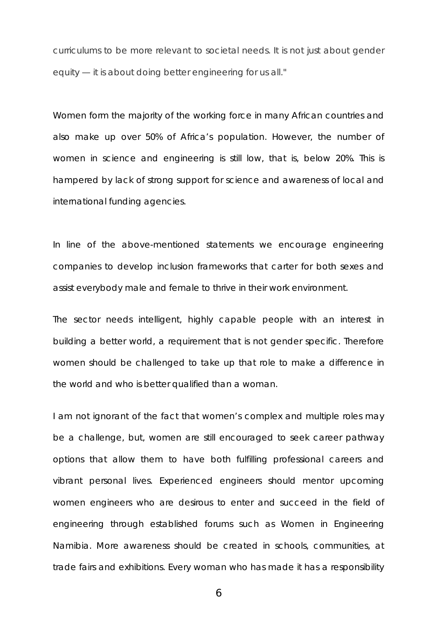curriculums to be more relevant to societal needs. It is not just about gender equity — it is about doing better engineering for us all."

Women form the majority of the working force in many African countries and also make up over 50% of Africa's population. However, the number of women in science and engineering is still low, that is, below 20%. This is hampered by lack of strong support for science and awareness of local and international funding agencies.

In line of the above-mentioned statements we encourage engineering companies to develop inclusion frameworks that carter for both sexes and assist everybody male and female to thrive in their work environment.

The sector needs intelligent, highly capable people with an interest in building a better world, a requirement that is not gender specific. Therefore women should be challenged to take up that role to make a difference in the world and who is better qualified than a woman.

I am not ignorant of the fact that women's complex and multiple roles may be a challenge, but, women are still encouraged to seek career pathway options that allow them to have both fulfilling professional careers and vibrant personal lives. Experienced engineers should mentor upcoming women engineers who are desirous to enter and succeed in the field of engineering through established forums such as Women in Engineering Namibia. More awareness should be created in schools, communities, at trade fairs and exhibitions. Every woman who has made it has a responsibility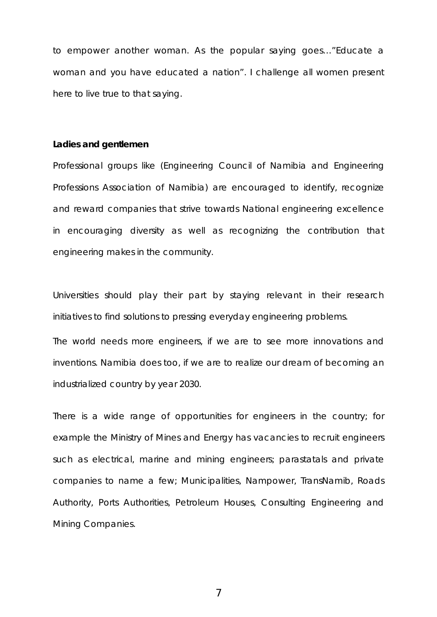to empower another woman. As the popular saying goes…"Educate a woman and you have educated a nation". I challenge all women present here to live true to that saying.

### **Ladies and gentlemen**

Professional groups like (Engineering Council of Namibia and Engineering Professions Association of Namibia) are encouraged to identify, recognize and reward companies that strive towards National engineering excellence in encouraging diversity as well as recognizing the contribution that engineering makes in the community.

Universities should play their part by staying relevant in their research initiatives to find solutions to pressing everyday engineering problems.

The world needs more engineers, if we are to see more innovations and inventions. Namibia does too, if we are to realize our dream of becoming an industrialized country by year 2030.

There is a wide range of opportunities for engineers in the country; for example the Ministry of Mines and Energy has vacancies to recruit engineers such as electrical, marine and mining engineers; parastatals and private companies to name a few; Municipalities, Nampower, TransNamib, Roads Authority, Ports Authorities, Petroleum Houses, Consulting Engineering and Mining Companies.